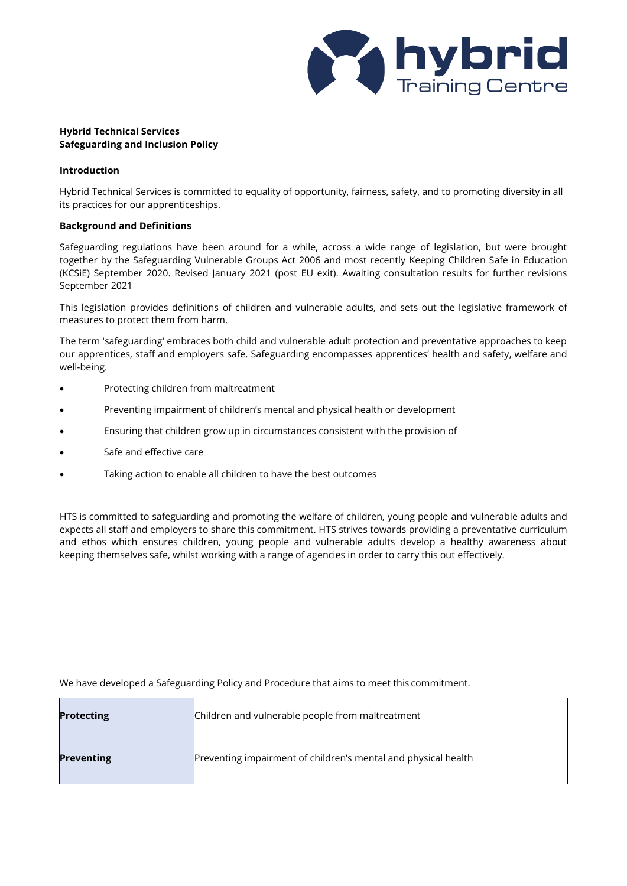

# **Hybrid Technical Services Safeguarding and Inclusion Policy**

# **Introduction**

Hybrid Technical Services is committed to equality of opportunity, fairness, safety, and to promoting diversity in all its practices for our apprenticeships.

# **Background and Definitions**

Safeguarding regulations have been around for a while, across a wide range of legislation, but were brought together by the Safeguarding Vulnerable Groups Act 2006 and most recently Keeping Children Safe in Education (KCSiE) September 2020. Revised January 2021 (post EU exit). Awaiting consultation results for further revisions September 2021

This legislation provides definitions of children and vulnerable adults, and sets out the legislative framework of measures to protect them from harm.

The term 'safeguarding' embraces both child and vulnerable adult protection and preventative approaches to keep our apprentices, staff and employers safe. Safeguarding encompasses apprentices' health and safety, welfare and well-being.

- Protecting children from maltreatment
- Preventing impairment of children's mental and physical health or development
- Ensuring that children grow up in circumstances consistent with the provision of
- Safe and effective care
- Taking action to enable all children to have the best outcomes

HTS is committed to safeguarding and promoting the welfare of children, young people and vulnerable adults and expects all staff and employers to share this commitment. HTS strives towards providing a preventative curriculum and ethos which ensures children, young people and vulnerable adults develop a healthy awareness about keeping themselves safe, whilst working with a range of agencies in order to carry this out effectively.

| <b>Protecting</b> | Children and vulnerable people from maltreatment               |
|-------------------|----------------------------------------------------------------|
| <b>Preventing</b> | Preventing impairment of children's mental and physical health |

We have developed a Safeguarding Policy and Procedure that aims to meet this commitment.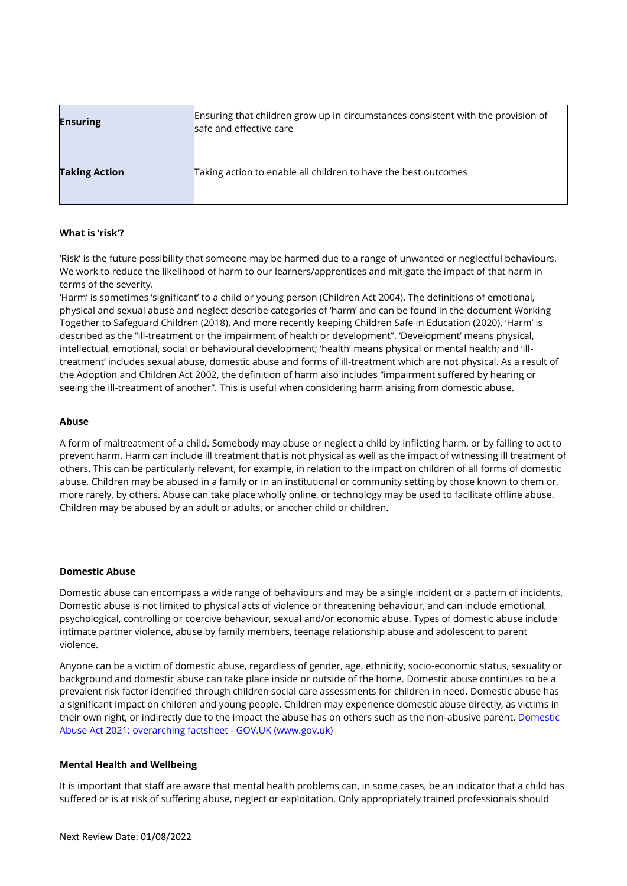| <b>Ensuring</b>      | Ensuring that children grow up in circumstances consistent with the provision of<br>safe and effective care |
|----------------------|-------------------------------------------------------------------------------------------------------------|
| <b>Taking Action</b> | Taking action to enable all children to have the best outcomes                                              |

## **What is 'risk'?**

'Risk' is the future possibility that someone may be harmed due to a range of unwanted or neglectful behaviours. We work to reduce the likelihood of harm to our learners/apprentices and mitigate the impact of that harm in terms of the severity.

'Harm' is sometimes 'significant' to a child or young person (Children Act 2004). The definitions of emotional, physical and sexual abuse and neglect describe categories of 'harm' and can be found in the document Working Together to Safeguard Children (2018). And more recently keeping Children Safe in Education (2020). 'Harm' is described as the "ill-treatment or the impairment of health or development". 'Development' means physical, intellectual, emotional, social or behavioural development; 'health' means physical or mental health; and 'illtreatment' includes sexual abuse, domestic abuse and forms of ill-treatment which are not physical. As a result of the Adoption and Children Act 2002, the definition of harm also includes "impairment suffered by hearing or seeing the ill-treatment of another". This is useful when considering harm arising from domestic abuse.

## **Abuse**

A form of maltreatment of a child. Somebody may abuse or neglect a child by inflicting harm, or by failing to act to prevent harm. Harm can include ill treatment that is not physical as well as the impact of witnessing ill treatment of others. This can be particularly relevant, for example, in relation to the impact on children of all forms of domestic abuse. Children may be abused in a family or in an institutional or community setting by those known to them or, more rarely, by others. Abuse can take place wholly online, or technology may be used to facilitate offline abuse. Children may be abused by an adult or adults, or another child or children.

## **Domestic Abuse**

Domestic abuse can encompass a wide range of behaviours and may be a single incident or a pattern of incidents. Domestic abuse is not limited to physical acts of violence or threatening behaviour, and can include emotional, psychological, controlling or coercive behaviour, sexual and/or economic abuse. Types of domestic abuse include intimate partner violence, abuse by family members, teenage relationship abuse and adolescent to parent violence.

Anyone can be a victim of domestic abuse, regardless of gender, age, ethnicity, socio-economic status, sexuality or background and domestic abuse can take place inside or outside of the home. Domestic abuse continues to be a prevalent risk factor identified through children social care assessments for children in need. Domestic abuse has a significant impact on children and young people. Children may experience domestic abuse directly, as victims in their own right, or indirectly due to the impact the abuse has on others such as the non-abusive parent. [Domestic](https://www.gov.uk/government/publications/domestic-abuse-bill-2020-factsheets/domestic-abuse-bill-2020-overarching-factsheet)  [Abuse Act 2021: overarching factsheet -](https://www.gov.uk/government/publications/domestic-abuse-bill-2020-factsheets/domestic-abuse-bill-2020-overarching-factsheet) GOV.UK (www.gov.uk)

## **Mental Health and Wellbeing**

It is important that staff are aware that mental health problems can, in some cases, be an indicator that a child has suffered or is at risk of suffering abuse, neglect or exploitation. Only appropriately trained professionals should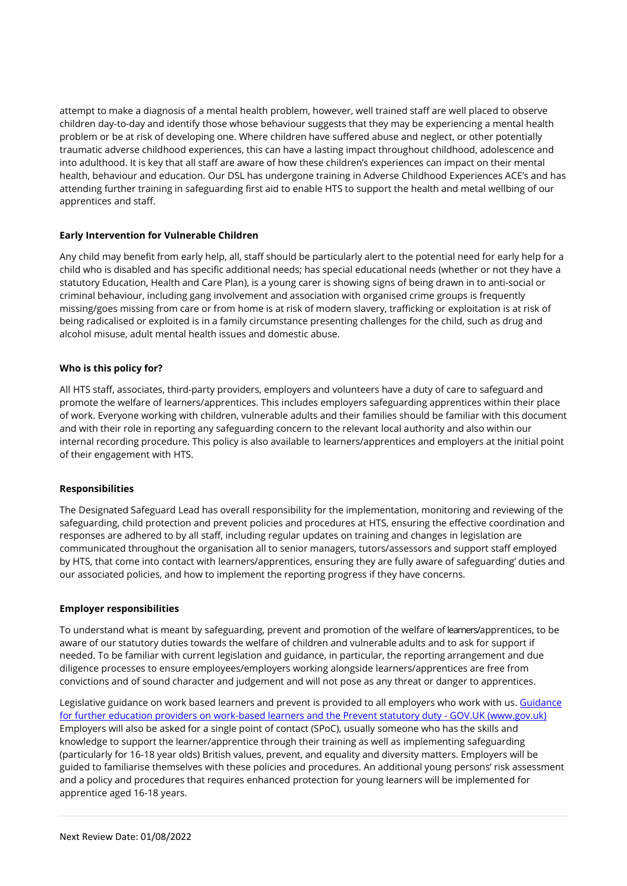attempt to make a diagnosis of a mental health problem, however, well trained staff are well placed to observe children day-to-day and identify those whose behaviour suggests that they may be experiencing a mental health problem or be at risk of developing one. Where children have suffered abuse and neglect, or other potentially traumatic adverse childhood experiences, this can have a lasting impact throughout childhood, adolescence and into adulthood. It is key that all staff are aware of how these children's experiences can impact on their mental health, behaviour and education. Our DSL has undergone training in Adverse Childhood Experiences ACE's and has attending further training in safeguarding first aid to enable HTS to support the health and metal wellbing of our apprentices and staff.

# **Early Intervention for Vulnerable Children**

Any child may benefit from early help, all, staff should be particularly alert to the potential need for early help for a child who is disabled and has specific additional needs; has special educational needs (whether or not they have a statutory Education, Health and Care Plan), is a young carer is showing signs of being drawn in to anti-social or criminal behaviour, including gang involvement and association with organised crime groups is frequently missing/goes missing from care or from home is at risk of modern slavery, trafficking or exploitation is at risk of being radicalised or exploited is in a family circumstance presenting challenges for the child, such as drug and alcohol misuse, adult mental health issues and domestic abuse.

# **Who is this policy for?**

All HTS staff, associates, third-party providers, employers and volunteers have a duty of care to safeguard and promote the welfare of learners/apprentices. This includes employers safeguarding apprentices within their place of work. Everyone working with children, vulnerable adults and their families should be familiar with this document and with their role in reporting any safeguarding concern to the relevant local authority and also within our internal recording procedure. This policy is also available to learners/apprentices and employers at the initial point of their engagement with HTS.

## **Responsibilities**

The Designated Safeguard Lead has overall responsibility for the implementation, monitoring and reviewing of the safeguarding, child protection and prevent policies and procedures at HTS, ensuring the effective coordination and responses are adhered to by all staff, including regular updates on training and changes in legislation are communicated throughout the organisation all to senior managers, tutors/assessors and support staff employed by HTS, that come into contact with learners/apprentices, ensuring they are fully aware of safeguarding' duties and our associated policies, and how to implement the reporting progress if they have concerns.

## **Employer responsibilities**

To understand what is meant by safeguarding, prevent and promotion of the welfare of learners/apprentices, to be aware of our statutory duties towards the welfare of children and vulnerable adults and to ask for support if needed. To be familiar with current legislation and guidance, in particular, the reporting arrangement and due diligence processes to ensure employees/employers working alongside learners/apprentices are free from convictions and of sound character and judgement and will not pose as any threat or danger to apprentices.

Legislative guidance on work based learners and prevent is provided to all employers who work with us[. Guidance](https://www.gov.uk/government/publications/work-based-learners-and-the-prevent-statutory-duty/guidance-for-providers-on-work-based-learners-and-the-prevent-statutory-duty)  [for further education providers on work-based learners and the Prevent statutory duty -](https://www.gov.uk/government/publications/work-based-learners-and-the-prevent-statutory-duty/guidance-for-providers-on-work-based-learners-and-the-prevent-statutory-duty) GOV.UK (www.gov.uk) Employers will also be asked for a single point of contact (SPoC), usually someone who has the skills and knowledge to support the learner/apprentice through their training as well as implementing safeguarding (particularly for 16-18 year olds) British values, prevent, and equality and diversity matters. Employers will be guided to familiarise themselves with these policies and procedures. An additional young persons' risk assessment and a policy and procedures that requires enhanced protection for young learners will be implemented for apprentice aged 16-18 years.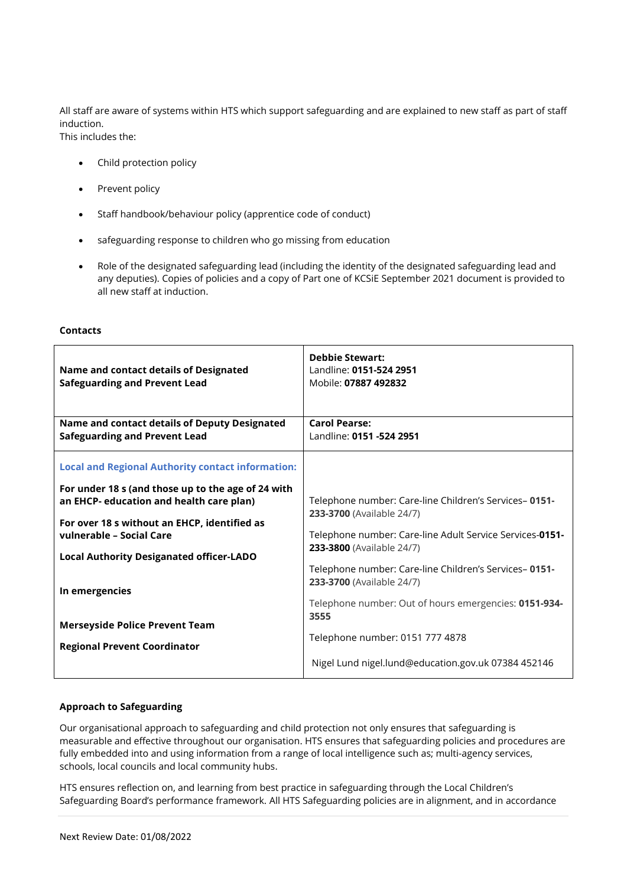All staff are aware of systems within HTS which support safeguarding and are explained to new staff as part of staff induction.

This includes the:

- Child protection policy
- Prevent policy
- Staff handbook/behaviour policy (apprentice code of conduct)
- safeguarding response to children who go missing from education
- Role of the designated safeguarding lead (including the identity of the designated safeguarding lead and any deputies). Copies of policies and a copy of Part one of KCSiE September 2021 document is provided to all new staff at induction.

# **Contacts**

| Name and contact details of Designated<br><b>Safeguarding and Prevent Lead</b>                 | <b>Debbie Stewart:</b><br>Landline: 0151-524 2951<br>Mobile: 07887 492832              |
|------------------------------------------------------------------------------------------------|----------------------------------------------------------------------------------------|
| Name and contact details of Deputy Designated<br><b>Safeguarding and Prevent Lead</b>          | <b>Carol Pearse:</b><br>Landline: 0151 -524 2951                                       |
| <b>Local and Regional Authority contact information:</b>                                       |                                                                                        |
| For under 18 s (and those up to the age of 24 with<br>an EHCP- education and health care plan) | Telephone number: Care-line Children's Services-0151-<br>233-3700 (Available 24/7)     |
| For over 18 s without an EHCP, identified as<br>vulnerable - Social Care                       | Telephone number: Care-line Adult Service Services-0151-<br>233-3800 (Available 24/7)  |
| <b>Local Authority Desiganated officer-LADO</b><br>In emergencies                              | Telephone number: Care-line Children's Services-0151-<br>233-3700 (Available 24/7)     |
| <b>Merseyside Police Prevent Team</b>                                                          | Telephone number: Out of hours emergencies: 0151-934-<br>3555                          |
| <b>Regional Prevent Coordinator</b>                                                            | Telephone number: 0151 777 4878<br>Nigel Lund nigel.lund@education.gov.uk 07384 452146 |
|                                                                                                |                                                                                        |

# **Approach to Safeguarding**

Our organisational approach to safeguarding and child protection not only ensures that safeguarding is measurable and effective throughout our organisation. HTS ensures that safeguarding policies and procedures are fully embedded into and using information from a range of local intelligence such as; multi-agency services, schools, local councils and local community hubs.

HTS ensures reflection on, and learning from best practice in safeguarding through the Local Children's Safeguarding Board's performance framework. All HTS Safeguarding policies are in alignment, and in accordance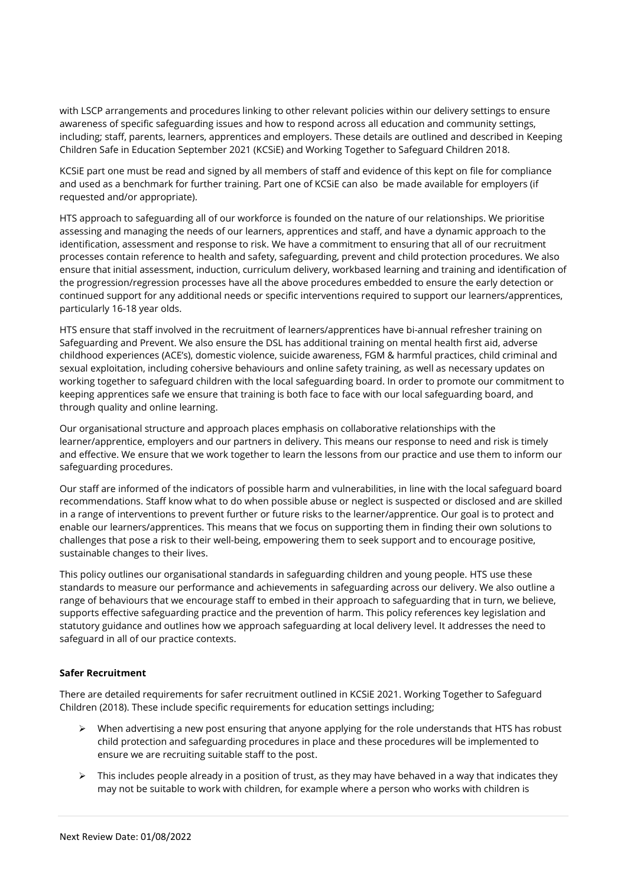with LSCP arrangements and procedures linking to other relevant policies within our delivery settings to ensure awareness of specific safeguarding issues and how to respond across all education and community settings, including; staff, parents, learners, apprentices and employers. These details are outlined and described in Keeping Children Safe in Education September 2021 (KCSiE) and Working Together to Safeguard Children 2018.

KCSiE part one must be read and signed by all members of staff and evidence of this kept on file for compliance and used as a benchmark for further training. Part one of KCSiE can also be made available for employers (if requested and/or appropriate).

HTS approach to safeguarding all of our workforce is founded on the nature of our relationships. We prioritise assessing and managing the needs of our learners, apprentices and staff, and have a dynamic approach to the identification, assessment and response to risk. We have a commitment to ensuring that all of our recruitment processes contain reference to health and safety, safeguarding, prevent and child protection procedures. We also ensure that initial assessment, induction, curriculum delivery, workbased learning and training and identification of the progression/regression processes have all the above procedures embedded to ensure the early detection or continued support for any additional needs or specific interventions required to support our learners/apprentices, particularly 16-18 year olds.

HTS ensure that staff involved in the recruitment of learners/apprentices have bi-annual refresher training on Safeguarding and Prevent. We also ensure the DSL has additional training on mental health first aid, adverse childhood experiences (ACE's), domestic violence, suicide awareness, FGM & harmful practices, child criminal and sexual exploitation, including cohersive behaviours and online safety training, as well as necessary updates on working together to safeguard children with the local safeguarding board. In order to promote our commitment to keeping apprentices safe we ensure that training is both face to face with our local safeguarding board, and through quality and online learning.

Our organisational structure and approach places emphasis on collaborative relationships with the learner/apprentice, employers and our partners in delivery. This means our response to need and risk is timely and effective. We ensure that we work together to learn the lessons from our practice and use them to inform our safeguarding procedures.

Our staff are informed of the indicators of possible harm and vulnerabilities, in line with the local safeguard board recommendations. Staff know what to do when possible abuse or neglect is suspected or disclosed and are skilled in a range of interventions to prevent further or future risks to the learner/apprentice. Our goal is to protect and enable our learners/apprentices. This means that we focus on supporting them in finding their own solutions to challenges that pose a risk to their well-being, empowering them to seek support and to encourage positive, sustainable changes to their lives.

This policy outlines our organisational standards in safeguarding children and young people. HTS use these standards to measure our performance and achievements in safeguarding across our delivery. We also outline a range of behaviours that we encourage staff to embed in their approach to safeguarding that in turn, we believe, supports effective safeguarding practice and the prevention of harm. This policy references key legislation and statutory guidance and outlines how we approach safeguarding at local delivery level. It addresses the need to safeguard in all of our practice contexts.

# **Safer Recruitment**

There are detailed requirements for safer recruitment outlined in KCSiE 2021. Working Together to Safeguard Children (2018). These include specific requirements for education settings including;

- $\triangleright$  When advertising a new post ensuring that anyone applying for the role understands that HTS has robust child protection and safeguarding procedures in place and these procedures will be implemented to ensure we are recruiting suitable staff to the post.
- $\triangleright$  This includes people already in a position of trust, as they may have behaved in a way that indicates they may not be suitable to work with children, for example where a person who works with children is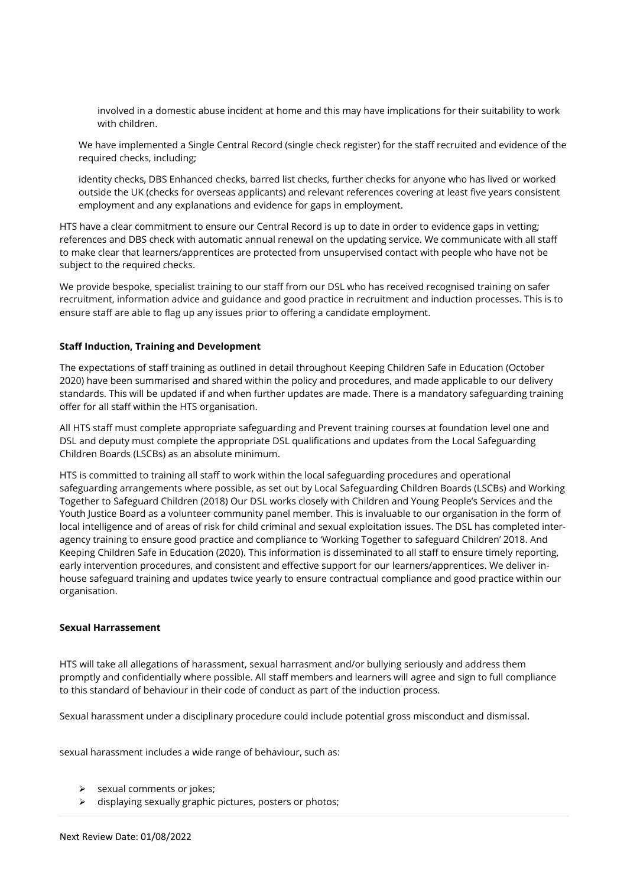involved in a domestic abuse incident at home and this may have implications for their suitability to work with children.

We have implemented a Single Central Record (single check register) for the staff recruited and evidence of the required checks, including;

identity checks, DBS Enhanced checks, barred list checks, further checks for anyone who has lived or worked outside the UK (checks for overseas applicants) and relevant references covering at least five years consistent employment and any explanations and evidence for gaps in employment.

HTS have a clear commitment to ensure our Central Record is up to date in order to evidence gaps in vetting; references and DBS check with automatic annual renewal on the updating service. We communicate with all staff to make clear that learners/apprentices are protected from unsupervised contact with people who have not be subject to the required checks.

We provide bespoke, specialist training to our staff from our DSL who has received recognised training on safer recruitment, information advice and guidance and good practice in recruitment and induction processes. This is to ensure staff are able to flag up any issues prior to offering a candidate employment.

# **Staff Induction, Training and Development**

The expectations of staff training as outlined in detail throughout Keeping Children Safe in Education (October 2020) have been summarised and shared within the policy and procedures, and made applicable to our delivery standards. This will be updated if and when further updates are made. There is a mandatory safeguarding training offer for all staff within the HTS organisation.

All HTS staff must complete appropriate safeguarding and Prevent training courses at foundation level one and DSL and deputy must complete the appropriate DSL qualifications and updates from the Local Safeguarding Children Boards (LSCBs) as an absolute minimum.

HTS is committed to training all staff to work within the local safeguarding procedures and operational safeguarding arrangements where possible, as set out by Local Safeguarding Children Boards (LSCBs) and Working Together to Safeguard Children (2018) Our DSL works closely with Children and Young People's Services and the Youth Justice Board as a volunteer community panel member. This is invaluable to our organisation in the form of local intelligence and of areas of risk for child criminal and sexual exploitation issues. The DSL has completed interagency training to ensure good practice and compliance to 'Working Together to safeguard Children' 2018. And Keeping Children Safe in Education (2020). This information is disseminated to all staff to ensure timely reporting, early intervention procedures, and consistent and effective support for our learners/apprentices. We deliver inhouse safeguard training and updates twice yearly to ensure contractual compliance and good practice within our organisation.

## **Sexual Harrassement**

HTS will take all allegations of harassment, sexual harrasment and/or bullying seriously and address them promptly and confidentially where possible. All staff members and learners will agree and sign to full compliance to this standard of behaviour in their code of conduct as part of the induction process.

Sexual harassment under a disciplinary procedure could include potential gross misconduct and dismissal.

sexual harassment includes a wide range of behaviour, such as:

- ➢ sexual comments or jokes;
- ➢ displaying sexually graphic pictures, posters or photos;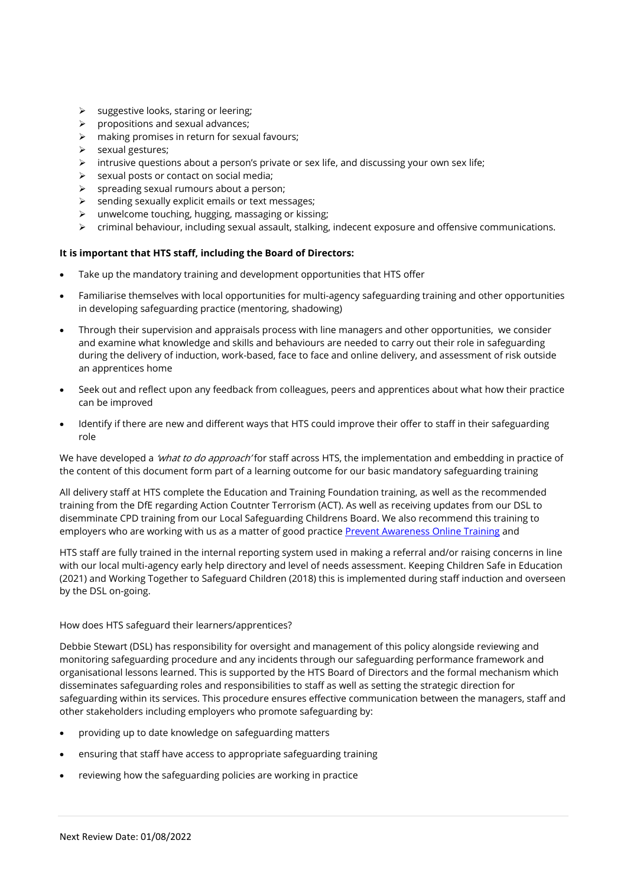- ➢ suggestive looks, staring or leering;
- ➢ propositions and sexual advances;
- $\triangleright$  making promises in return for sexual favours;
- ➢ sexual gestures;
- ➢ intrusive questions about a person's private or sex life, and discussing your own sex life;
- $\triangleright$  sexual posts or contact on social media;
- ➢ spreading sexual rumours about a person;
- ➢ sending sexually explicit emails or text messages;
- ➢ unwelcome touching, hugging, massaging or kissing;
- $\triangleright$  criminal behaviour, including sexual assault, stalking, indecent exposure and offensive communications.

# **It is important that HTS staff, including the Board of Directors:**

- Take up the mandatory training and development opportunities that HTS offer
- Familiarise themselves with local opportunities for multi-agency safeguarding training and other opportunities in developing safeguarding practice (mentoring, shadowing)
- Through their supervision and appraisals process with line managers and other opportunities, we consider and examine what knowledge and skills and behaviours are needed to carry out their role in safeguarding during the delivery of induction, work-based, face to face and online delivery, and assessment of risk outside an apprentices home
- Seek out and reflect upon any feedback from colleagues, peers and apprentices about what how their practice can be improved
- Identify if there are new and different ways that HTS could improve their offer to staff in their safeguarding role

We have developed a *'what to do approach'* for staff across HTS, the implementation and embedding in practice of the content of this document form part of a learning outcome for our basic mandatory safeguarding training

All delivery staff at HTS complete the Education and Training Foundation training, as well as the recommended training from the DfE regarding Action Coutnter Terrorism (ACT). As well as receiving updates from our DSL to disemminate CPD training from our Local Safeguarding Childrens Board. We also recommend this training to employers who are working with us as a matter of good practice [Prevent Awareness Online Training](https://www.elearning.prevent.homeoffice.gov.uk/la2/screen1.html) and

HTS staff are fully trained in the internal reporting system used in making a referral and/or raising concerns in line with our local multi-agency early help directory and level of needs assessment. Keeping Children Safe in Education (2021) and Working Together to Safeguard Children (2018) this is implemented during staff induction and overseen by the DSL on-going.

## How does HTS safeguard their learners/apprentices?

Debbie Stewart (DSL) has responsibility for oversight and management of this policy alongside reviewing and monitoring safeguarding procedure and any incidents through our safeguarding performance framework and organisational lessons learned. This is supported by the HTS Board of Directors and the formal mechanism which disseminates safeguarding roles and responsibilities to staff as well as setting the strategic direction for safeguarding within its services. This procedure ensures effective communication between the managers, staff and other stakeholders including employers who promote safeguarding by:

- providing up to date knowledge on safeguarding matters
- ensuring that staff have access to appropriate safeguarding training
- reviewing how the safeguarding policies are working in practice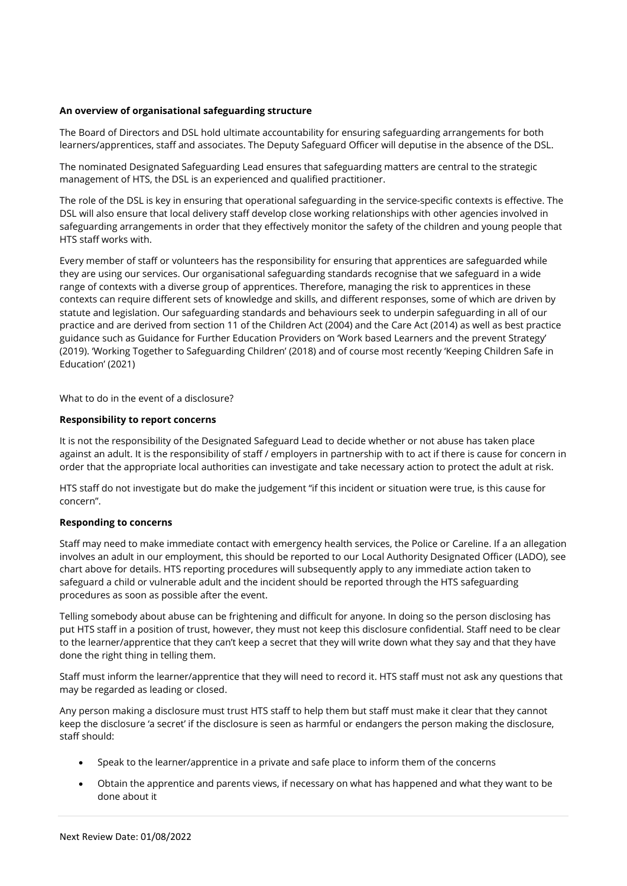# **An overview of organisational safeguarding structure**

The Board of Directors and DSL hold ultimate accountability for ensuring safeguarding arrangements for both learners/apprentices, staff and associates. The Deputy Safeguard Officer will deputise in the absence of the DSL.

The nominated Designated Safeguarding Lead ensures that safeguarding matters are central to the strategic management of HTS, the DSL is an experienced and qualified practitioner.

The role of the DSL is key in ensuring that operational safeguarding in the service-specific contexts is effective. The DSL will also ensure that local delivery staff develop close working relationships with other agencies involved in safeguarding arrangements in order that they effectively monitor the safety of the children and young people that HTS staff works with.

Every member of staff or volunteers has the responsibility for ensuring that apprentices are safeguarded while they are using our services. Our organisational safeguarding standards recognise that we safeguard in a wide range of contexts with a diverse group of apprentices. Therefore, managing the risk to apprentices in these contexts can require different sets of knowledge and skills, and different responses, some of which are driven by statute and legislation. Our safeguarding standards and behaviours seek to underpin safeguarding in all of our practice and are derived from section 11 of the Children Act (2004) and the Care Act (2014) as well as best practice guidance such as Guidance for Further Education Providers on 'Work based Learners and the prevent Strategy' (2019). 'Working Together to Safeguarding Children' (2018) and of course most recently 'Keeping Children Safe in Education' (2021)

What to do in the event of a disclosure?

## **Responsibility to report concerns**

It is not the responsibility of the Designated Safeguard Lead to decide whether or not abuse has taken place against an adult. It is the responsibility of staff / employers in partnership with to act if there is cause for concern in order that the appropriate local authorities can investigate and take necessary action to protect the adult at risk.

HTS staff do not investigate but do make the judgement "if this incident or situation were true, is this cause for concern".

## **Responding to concerns**

Staff may need to make immediate contact with emergency health services, the Police or Careline. If a an allegation involves an adult in our employment, this should be reported to our Local Authority Designated Officer (LADO), see chart above for details. HTS reporting procedures will subsequently apply to any immediate action taken to safeguard a child or vulnerable adult and the incident should be reported through the HTS safeguarding procedures as soon as possible after the event.

Telling somebody about abuse can be frightening and difficult for anyone. In doing so the person disclosing has put HTS staff in a position of trust, however, they must not keep this disclosure confidential. Staff need to be clear to the learner/apprentice that they can't keep a secret that they will write down what they say and that they have done the right thing in telling them.

Staff must inform the learner/apprentice that they will need to record it. HTS staff must not ask any questions that may be regarded as leading or closed.

Any person making a disclosure must trust HTS staff to help them but staff must make it clear that they cannot keep the disclosure 'a secret' if the disclosure is seen as harmful or endangers the person making the disclosure, staff should:

- Speak to the learner/apprentice in a private and safe place to inform them of the concerns
- Obtain the apprentice and parents views, if necessary on what has happened and what they want to be done about it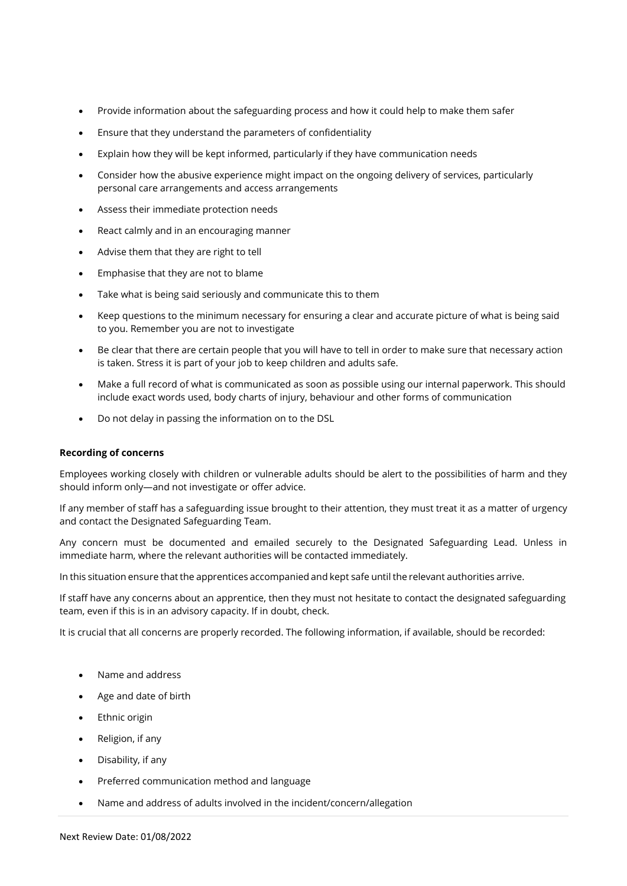- Provide information about the safeguarding process and how it could help to make them safer
- Ensure that they understand the parameters of confidentiality
- Explain how they will be kept informed, particularly if they have communication needs
- Consider how the abusive experience might impact on the ongoing delivery of services, particularly personal care arrangements and access arrangements
- Assess their immediate protection needs
- React calmly and in an encouraging manner
- Advise them that they are right to tell
- Emphasise that they are not to blame
- Take what is being said seriously and communicate this to them
- Keep questions to the minimum necessary for ensuring a clear and accurate picture of what is being said to you. Remember you are not to investigate
- Be clear that there are certain people that you will have to tell in order to make sure that necessary action is taken. Stress it is part of your job to keep children and adults safe.
- Make a full record of what is communicated as soon as possible using our internal paperwork. This should include exact words used, body charts of injury, behaviour and other forms of communication
- Do not delay in passing the information on to the DSL

## **Recording of concerns**

Employees working closely with children or vulnerable adults should be alert to the possibilities of harm and they should inform only—and not investigate or offer advice.

If any member of staff has a safeguarding issue brought to their attention, they must treat it as a matter of urgency and contact the Designated Safeguarding Team.

Any concern must be documented and emailed securely to the Designated Safeguarding Lead. Unless in immediate harm, where the relevant authorities will be contacted immediately.

In this situation ensure that the apprentices accompanied and kept safe until the relevant authorities arrive.

If staff have any concerns about an apprentice, then they must not hesitate to contact the designated safeguarding team, even if this is in an advisory capacity. If in doubt, check.

It is crucial that all concerns are properly recorded. The following information, if available, should be recorded:

- Name and address
- Age and date of birth
- Ethnic origin
- Religion, if any
- Disability, if any
- Preferred communication method and language
- Name and address of adults involved in the incident/concern/allegation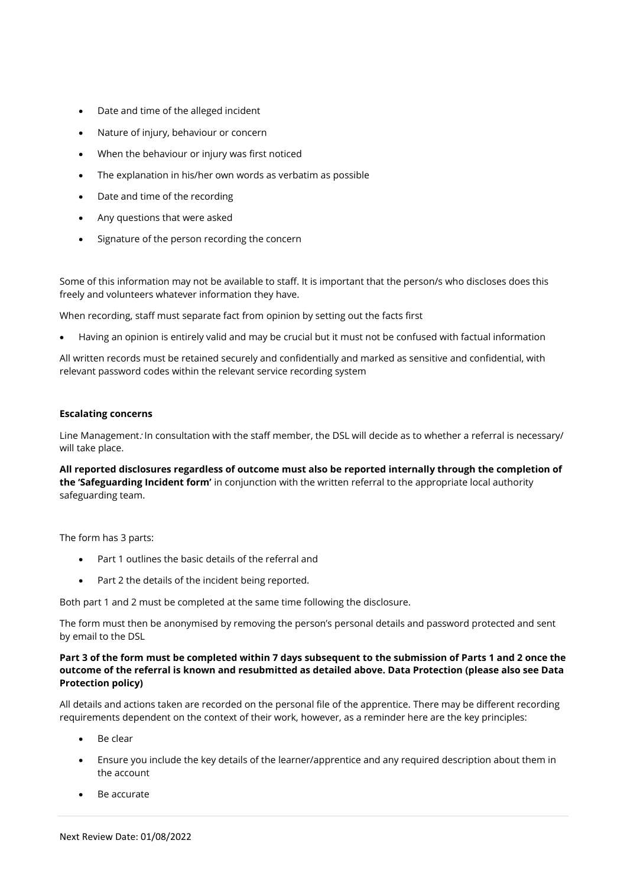- Date and time of the alleged incident
- Nature of injury, behaviour or concern
- When the behaviour or injury was first noticed
- The explanation in his/her own words as verbatim as possible
- Date and time of the recording
- Any questions that were asked
- Signature of the person recording the concern

Some of this information may not be available to staff. It is important that the person/s who discloses does this freely and volunteers whatever information they have.

When recording, staff must separate fact from opinion by setting out the facts first

• Having an opinion is entirely valid and may be crucial but it must not be confused with factual information

All written records must be retained securely and confidentially and marked as sensitive and confidential, with relevant password codes within the relevant service recording system

## **Escalating concerns**

Line Management: In consultation with the staff member, the DSL will decide as to whether a referral is necessary/ will take place.

**All reported disclosures regardless of outcome must also be reported internally through the completion of the 'Safeguarding Incident form'** in conjunction with the written referral to the appropriate local authority safeguarding team.

The form has 3 parts:

- Part 1 outlines the basic details of the referral and
- Part 2 the details of the incident being reported.

Both part 1 and 2 must be completed at the same time following the disclosure.

The form must then be anonymised by removing the person's personal details and password protected and sent by email to the DSL

# **Part 3 of the form must be completed within 7 days subsequent to the submission of Parts 1 and 2 once the outcome of the referral is known and resubmitted as detailed above. Data Protection (please also see Data Protection policy)**

All details and actions taken are recorded on the personal file of the apprentice. There may be different recording requirements dependent on the context of their work, however, as a reminder here are the key principles:

- Be clear
- Ensure you include the key details of the learner/apprentice and any required description about them in the account
- Be accurate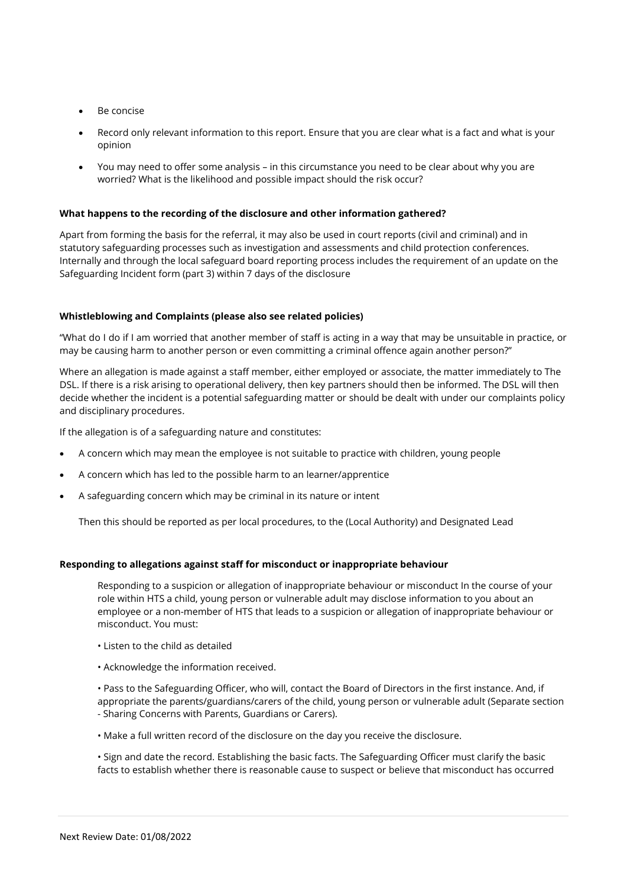- Be concise
- Record only relevant information to this report. Ensure that you are clear what is a fact and what is your opinion
- You may need to offer some analysis in this circumstance you need to be clear about why you are worried? What is the likelihood and possible impact should the risk occur?

### **What happens to the recording of the disclosure and other information gathered?**

Apart from forming the basis for the referral, it may also be used in court reports (civil and criminal) and in statutory safeguarding processes such as investigation and assessments and child protection conferences. Internally and through the local safeguard board reporting process includes the requirement of an update on the Safeguarding Incident form (part 3) within 7 days of the disclosure

### **Whistleblowing and Complaints (please also see related policies)**

"What do I do if I am worried that another member of staff is acting in a way that may be unsuitable in practice, or may be causing harm to another person or even committing a criminal offence again another person?"

Where an allegation is made against a staff member, either employed or associate, the matter immediately to The DSL. If there is a risk arising to operational delivery, then key partners should then be informed. The DSL will then decide whether the incident is a potential safeguarding matter or should be dealt with under our complaints policy and disciplinary procedures.

If the allegation is of a safeguarding nature and constitutes:

- A concern which may mean the employee is not suitable to practice with children, young people
- A concern which has led to the possible harm to an learner/apprentice
- A safeguarding concern which may be criminal in its nature or intent

Then this should be reported as per local procedures, to the (Local Authority) and Designated Lead

# **Responding to allegations against staff for misconduct or inappropriate behaviour**

Responding to a suspicion or allegation of inappropriate behaviour or misconduct In the course of your role within HTS a child, young person or vulnerable adult may disclose information to you about an employee or a non-member of HTS that leads to a suspicion or allegation of inappropriate behaviour or misconduct. You must:

- Listen to the child as detailed
- Acknowledge the information received.

• Pass to the Safeguarding Officer, who will, contact the Board of Directors in the first instance. And, if appropriate the parents/guardians/carers of the child, young person or vulnerable adult (Separate section - Sharing Concerns with Parents, Guardians or Carers).

• Make a full written record of the disclosure on the day you receive the disclosure.

• Sign and date the record. Establishing the basic facts. The Safeguarding Officer must clarify the basic facts to establish whether there is reasonable cause to suspect or believe that misconduct has occurred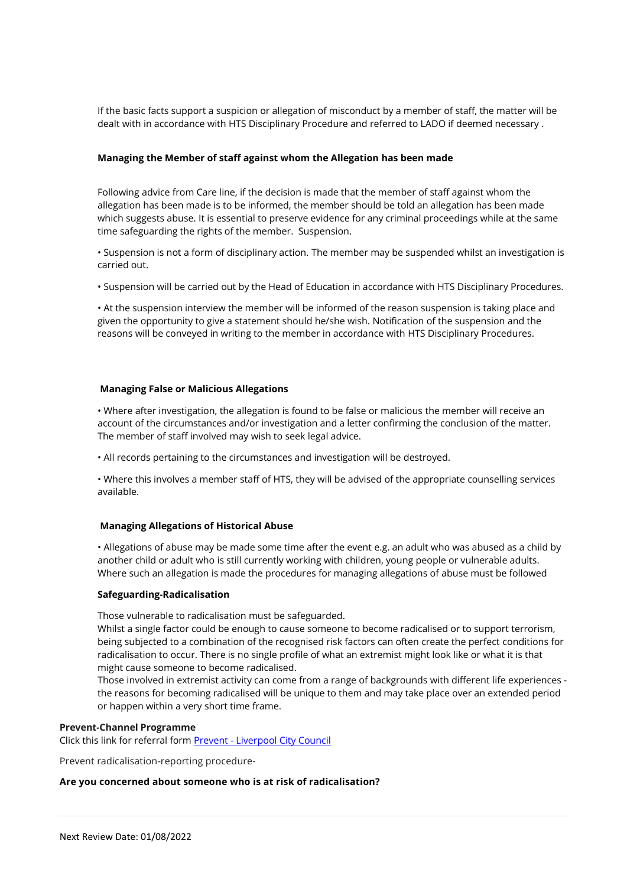If the basic facts support a suspicion or allegation of misconduct by a member of staff, the matter will be dealt with in accordance with HTS Disciplinary Procedure and referred to LADO if deemed necessary .

# **Managing the Member of staff against whom the Allegation has been made**

Following advice from Care line, if the decision is made that the member of staff against whom the allegation has been made is to be informed, the member should be told an allegation has been made which suggests abuse. It is essential to preserve evidence for any criminal proceedings while at the same time safeguarding the rights of the member. Suspension.

• Suspension is not a form of disciplinary action. The member may be suspended whilst an investigation is carried out.

• Suspension will be carried out by the Head of Education in accordance with HTS Disciplinary Procedures.

• At the suspension interview the member will be informed of the reason suspension is taking place and given the opportunity to give a statement should he/she wish. Notification of the suspension and the reasons will be conveyed in writing to the member in accordance with HTS Disciplinary Procedures.

### **Managing False or Malicious Allegations**

• Where after investigation, the allegation is found to be false or malicious the member will receive an account of the circumstances and/or investigation and a letter confirming the conclusion of the matter. The member of staff involved may wish to seek legal advice.

• All records pertaining to the circumstances and investigation will be destroyed.

• Where this involves a member staff of HTS, they will be advised of the appropriate counselling services available.

## **Managing Allegations of Historical Abuse**

• Allegations of abuse may be made some time after the event e.g. an adult who was abused as a child by another child or adult who is still currently working with children, young people or vulnerable adults. Where such an allegation is made the procedures for managing allegations of abuse must be followed

### **Safeguarding-Radicalisation**

Those vulnerable to radicalisation must be safeguarded.

Whilst a single factor could be enough to cause someone to become radicalised or to support terrorism, being subjected to a combination of the recognised risk factors can often create the perfect conditions for radicalisation to occur. There is no single profile of what an extremist might look like or what it is that might cause someone to become radicalised.

Those involved in extremist activity can come from a range of backgrounds with different life experiences the reasons for becoming radicalised will be unique to them and may take place over an extended period or happen within a very short time frame.

#### **Prevent-Channel Programme**

Click this link for referral form Prevent - [Liverpool City Council](https://www.liverpool.gov.uk/communities-and-safety/crime-and-safety/prevent/)

Prevent radicalisation-reporting procedure-

#### **Are you concerned about someone who is at risk of radicalisation?**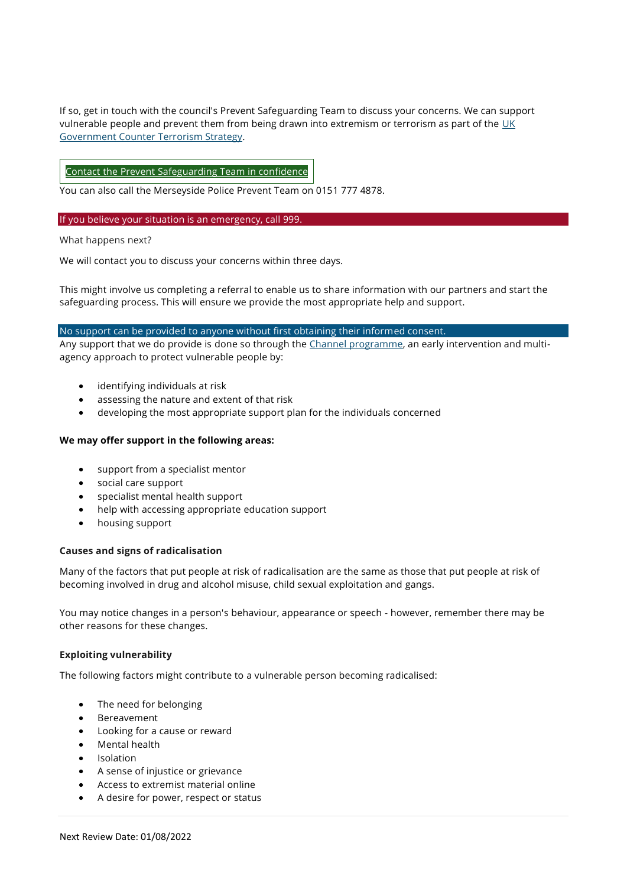If so, get in touch with the council's Prevent Safeguarding Team to discuss your concerns. We can support vulnerable people and prevent them from being drawn into extremism or terrorism as part of the [UK](https://www.gov.uk/government/publications/prevent-duty-guidance)  [Government Counter Terrorism Strategy.](https://www.gov.uk/government/publications/prevent-duty-guidance)

# Contact the Prevent [Safeguarding](https://www.liverpool.gov.uk/contact-us/service-area/prevent-safeguarding-team/) Team in confidence

You can also call the Merseyside Police Prevent Team on 0151 777 4878.

### If you believe your situation is an emergency, call 999.

What happens next?

We will contact you to discuss your concerns within three days.

This might involve us completing a referral to enable us to share information with our partners and start the safeguarding process. This will ensure we provide the most appropriate help and support.

## No support can be provided to anyone without first obtaining their informed consent.

Any support that we do provide is done so through the [Channel programme,](https://www.gov.uk/government/publications/channel-guidance) an early intervention and multiagency approach to protect vulnerable people by:

- identifying individuals at risk
- assessing the nature and extent of that risk
- developing the most appropriate support plan for the individuals concerned

# **We may offer support in the following areas:**

- support from a specialist mentor
- social care support
- specialist mental health support
- help with accessing appropriate education support
- housing support

## **Causes and signs of radicalisation**

Many of the factors that put people at risk of radicalisation are the same as those that put people at risk of becoming involved in drug and alcohol misuse, child sexual exploitation and gangs.

You may notice changes in a person's behaviour, appearance or speech - however, remember there may be other reasons for these changes.

# **Exploiting vulnerability**

The following factors might contribute to a vulnerable person becoming radicalised:

- The need for belonging
- **Bereavement**
- Looking for a cause or reward
- Mental health
- Isolation
- A sense of injustice or grievance
- Access to extremist material online
- A desire for power, respect or status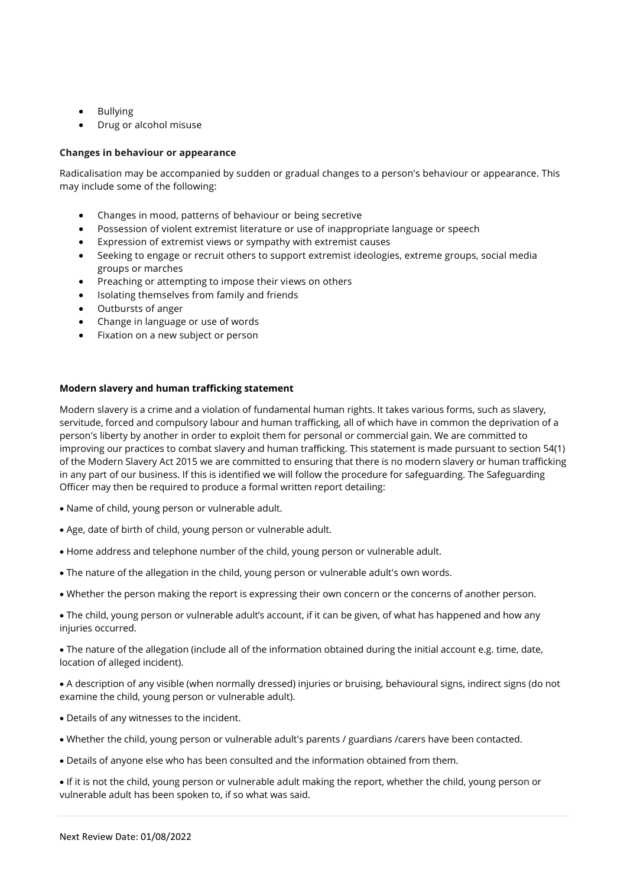- Bullying
- Drug or alcohol misuse

# **Changes in behaviour or appearance**

Radicalisation may be accompanied by sudden or gradual changes to a person's behaviour or appearance. This may include some of the following:

- Changes in mood, patterns of behaviour or being secretive
- Possession of violent extremist literature or use of inappropriate language or speech
- Expression of extremist views or sympathy with extremist causes
- Seeking to engage or recruit others to support extremist ideologies, extreme groups, social media groups or marches
- Preaching or attempting to impose their views on others
- Isolating themselves from family and friends
- Outbursts of anger
- Change in language or use of words
- Fixation on a new subject or person

# **Modern slavery and human trafficking statement**

Modern slavery is a crime and a violation of fundamental human rights. It takes various forms, such as slavery, servitude, forced and compulsory labour and human trafficking, all of which have in common the deprivation of a person's liberty by another in order to exploit them for personal or commercial gain. We are committed to improving our practices to combat slavery and human trafficking. This statement is made pursuant to section 54(1) of the Modern Slavery Act 2015 we are committed to ensuring that there is no modern slavery or human trafficking in any part of our business. If this is identified we will follow the procedure for safeguarding. The Safeguarding Officer may then be required to produce a formal written report detailing:

- Name of child, young person or vulnerable adult.
- Age, date of birth of child, young person or vulnerable adult.
- Home address and telephone number of the child, young person or vulnerable adult.
- The nature of the allegation in the child, young person or vulnerable adult's own words.
- Whether the person making the report is expressing their own concern or the concerns of another person.
- The child, young person or vulnerable adult's account, if it can be given, of what has happened and how any injuries occurred.

• The nature of the allegation (include all of the information obtained during the initial account e.g. time, date, location of alleged incident).

- A description of any visible (when normally dressed) injuries or bruising, behavioural signs, indirect signs (do not examine the child, young person or vulnerable adult).
- Details of any witnesses to the incident.
- Whether the child, young person or vulnerable adult's parents / guardians /carers have been contacted.
- Details of anyone else who has been consulted and the information obtained from them.

• If it is not the child, young person or vulnerable adult making the report, whether the child, young person or vulnerable adult has been spoken to, if so what was said.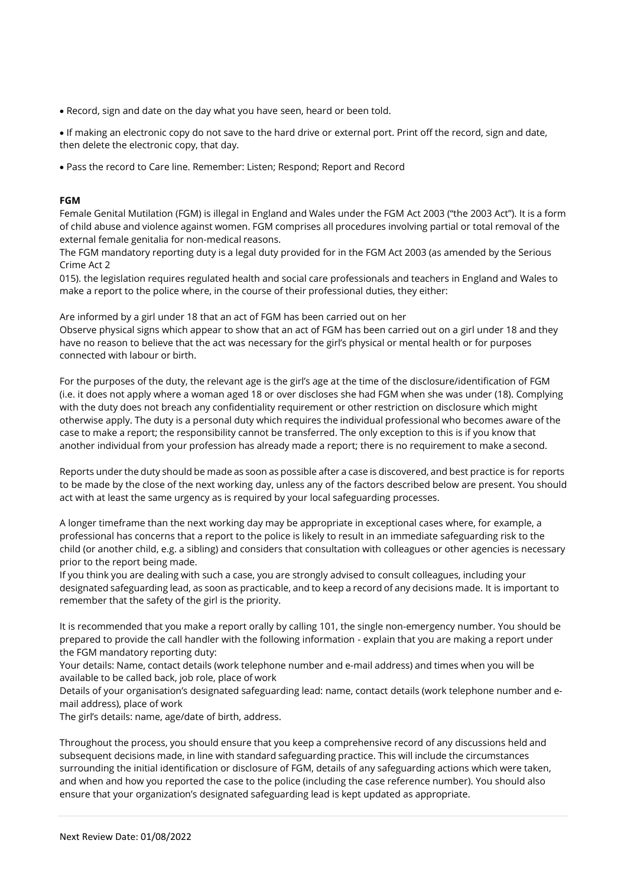• Record, sign and date on the day what you have seen, heard or been told.

• If making an electronic copy do not save to the hard drive or external port. Print off the record, sign and date, then delete the electronic copy, that day.

• Pass the record to Care line. Remember: Listen; Respond; Report and Record

# **FGM**

Female Genital Mutilation (FGM) is illegal in England and Wales under the FGM Act 2003 ("the 2003 Act"). It is a form of child abuse and violence against women. FGM comprises all procedures involving partial or total removal of the external female genitalia for non-medical reasons.

The FGM mandatory reporting duty is a legal duty provided for in the FGM Act 2003 (as amended by the Serious Crime Act 2

015). the legislation requires regulated health and social care professionals and teachers in England and Wales to make a report to the police where, in the course of their professional duties, they either:

Are informed by a girl under 18 that an act of FGM has been carried out on her

Observe physical signs which appear to show that an act of FGM has been carried out on a girl under 18 and they have no reason to believe that the act was necessary for the girl's physical or mental health or for purposes connected with labour or birth.

For the purposes of the duty, the relevant age is the girl's age at the time of the disclosure/identification of FGM (i.e. it does not apply where a woman aged 18 or over discloses she had FGM when she was under (18). Complying with the duty does not breach any confidentiality requirement or other restriction on disclosure which might otherwise apply. The duty is a personal duty which requires the individual professional who becomes aware of the case to make a report; the responsibility cannot be transferred. The only exception to this is if you know that another individual from your profession has already made a report; there is no requirement to make a second.

Reports under the duty should be made as soon as possible after a case is discovered, and best practice is for reports to be made by the close of the next working day, unless any of the factors described below are present. You should act with at least the same urgency as is required by your local safeguarding processes.

A longer timeframe than the next working day may be appropriate in exceptional cases where, for example, a professional has concerns that a report to the police is likely to result in an immediate safeguarding risk to the child (or another child, e.g. a sibling) and considers that consultation with colleagues or other agencies is necessary prior to the report being made.

If you think you are dealing with such a case, you are strongly advised to consult colleagues, including your designated safeguarding lead, as soon as practicable, and to keep a record of any decisions made. It is important to remember that the safety of the girl is the priority.

It is recommended that you make a report orally by calling 101, the single non-emergency number. You should be prepared to provide the call handler with the following information - explain that you are making a report under the FGM mandatory reporting duty:

Your details: Name, contact details (work telephone number and e-mail address) and times when you will be available to be called back, job role, place of work

Details of your organisation's designated safeguarding lead: name, contact details (work telephone number and email address), place of work

The girl's details: name, age/date of birth, address.

Throughout the process, you should ensure that you keep a comprehensive record of any discussions held and subsequent decisions made, in line with standard safeguarding practice. This will include the circumstances surrounding the initial identification or disclosure of FGM, details of any safeguarding actions which were taken, and when and how you reported the case to the police (including the case reference number). You should also ensure that your organization's designated safeguarding lead is kept updated as appropriate.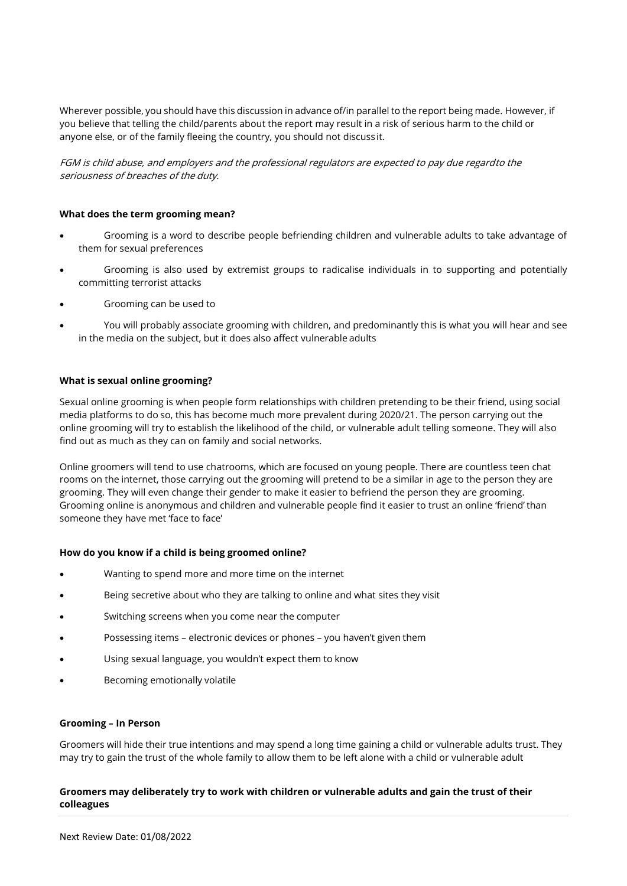Wherever possible, you should have this discussion in advance of/in parallel to the report being made. However, if you believe that telling the child/parents about the report may result in a risk of serious harm to the child or anyone else, or of the family fleeing the country, you should not discuss it.

FGM is child abuse, and employers and the professional regulators are expected to pay due regardto the seriousness of breaches of the duty.

# **What does the term grooming mean?**

- Grooming is a word to describe people befriending children and vulnerable adults to take advantage of them for sexual preferences
- Grooming is also used by extremist groups to radicalise individuals in to supporting and potentially committing terrorist attacks
- Grooming can be used to
- You will probably associate grooming with children, and predominantly this is what you will hear and see in the media on the subject, but it does also affect vulnerable adults

## **What is sexual online grooming?**

Sexual online grooming is when people form relationships with children pretending to be their friend, using social media platforms to do so, this has become much more prevalent during 2020/21. The person carrying out the online grooming will try to establish the likelihood of the child, or vulnerable adult telling someone. They will also find out as much as they can on family and social networks.

Online groomers will tend to use chatrooms, which are focused on young people. There are countless teen chat rooms on the internet, those carrying out the grooming will pretend to be a similar in age to the person they are grooming. They will even change their gender to make it easier to befriend the person they are grooming. Grooming online is anonymous and children and vulnerable people find it easier to trust an online 'friend' than someone they have met 'face to face'

# **How do you know if a child is being groomed online?**

- Wanting to spend more and more time on the internet
- Being secretive about who they are talking to online and what sites they visit
- Switching screens when you come near the computer
- Possessing items electronic devices or phones you haven't given them
- Using sexual language, you wouldn't expect them to know
- Becoming emotionally volatile

#### **Grooming – In Person**

Groomers will hide their true intentions and may spend a long time gaining a child or vulnerable adults trust. They may try to gain the trust of the whole family to allow them to be left alone with a child or vulnerable adult

## **Groomers may deliberately try to work with children or vulnerable adults and gain the trust of their colleagues**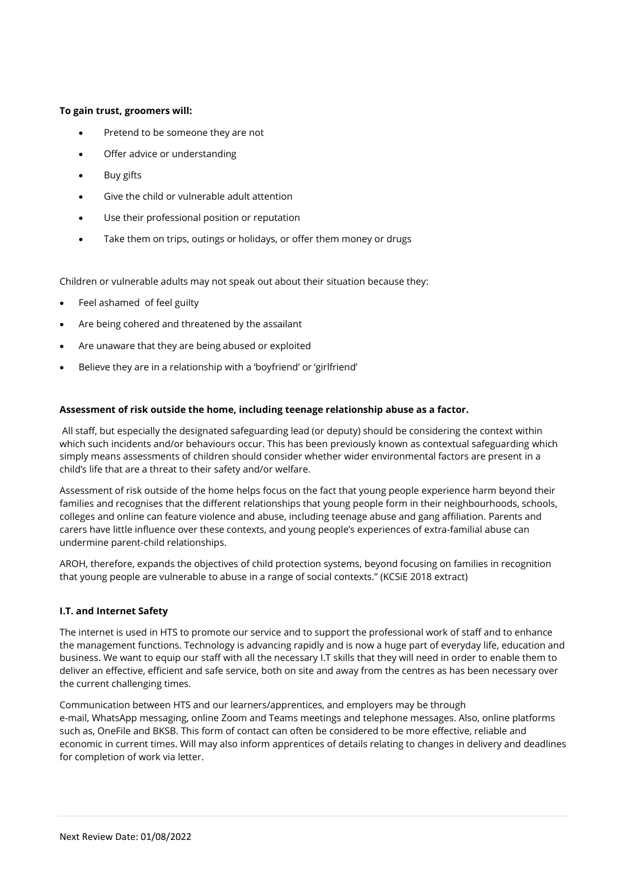## **To gain trust, groomers will:**

- Pretend to be someone they are not
- Offer advice or understanding
- **Buy gifts**
- Give the child or vulnerable adult attention
- Use their professional position or reputation
- Take them on trips, outings or holidays, or offer them money or drugs

Children or vulnerable adults may not speak out about their situation because they:

- Feel ashamed of feel guilty
- Are being cohered and threatened by the assailant
- Are unaware that they are being abused or exploited
- Believe they are in a relationship with a 'boyfriend' or 'girlfriend'

# **Assessment of risk outside the home, including teenage relationship abuse as a factor.**

[All staff, but especially the designated safeguarding lead \(or deputy\) should be considering the context within](https://assets.publishing.service.gov.uk/government/uploads/system/uploads/attachment_data/file/707761/Keeping_Children_Safe_in_Education_-_September_2018.pdf)  [which such incidents and/or behaviours occur. This has been previously](https://assets.publishing.service.gov.uk/government/uploads/system/uploads/attachment_data/file/707761/Keeping_Children_Safe_in_Education_-_September_2018.pdf) known as contextual safeguarding which [simply means assessments of children should consider whether wider environmental factors are present in a](https://assets.publishing.service.gov.uk/government/uploads/system/uploads/attachment_data/file/707761/Keeping_Children_Safe_in_Education_-_September_2018.pdf)  [child's life that are a threat to their safety and/or welfare.](https://assets.publishing.service.gov.uk/government/uploads/system/uploads/attachment_data/file/707761/Keeping_Children_Safe_in_Education_-_September_2018.pdf)

Assessment of risk outside of the home helps focus on the fact that young people experience harm beyond their families and recognises that the different relationships that young people form in their neighbourhoods, schools, colleges and online can feature violence and abuse, including teenage abuse and gang affiliation. Parents and carers have little influence over these contexts, and young people's experiences of extra-familial abuse can undermine parent-child relationships.

[AROH, therefore, expands the objectives of child protection systems,](https://contextualsafeguarding.org.uk/about/what-is-contextual-safeguarding) beyond focusing on families in recognition [that young people are vulnerable to abuse in a range of social contexts."](https://contextualsafeguarding.org.uk/about/what-is-contextual-safeguarding) (KCSiE 2018 extract)

# **I.T. and Internet Safety**

The internet is used in HTS to promote our service and to support the professional work of staff and to enhance the management functions. Technology is advancing rapidly and is now a huge part of everyday life, education and business. We want to equip our staff with all the necessary I.T skills that they will need in order to enable them to deliver an effective, efficient and safe service, both on site and away from the centres as has been necessary over the current challenging times.

Communication between HTS and our learners/apprentices, and employers may be through e-mail, WhatsApp messaging, online Zoom and Teams meetings and telephone messages. Also, online platforms such as, OneFile and BKSB. This form of contact can often be considered to be more effective, reliable and economic in current times. Will may also inform apprentices of details relating to changes in delivery and deadlines for completion of work via letter.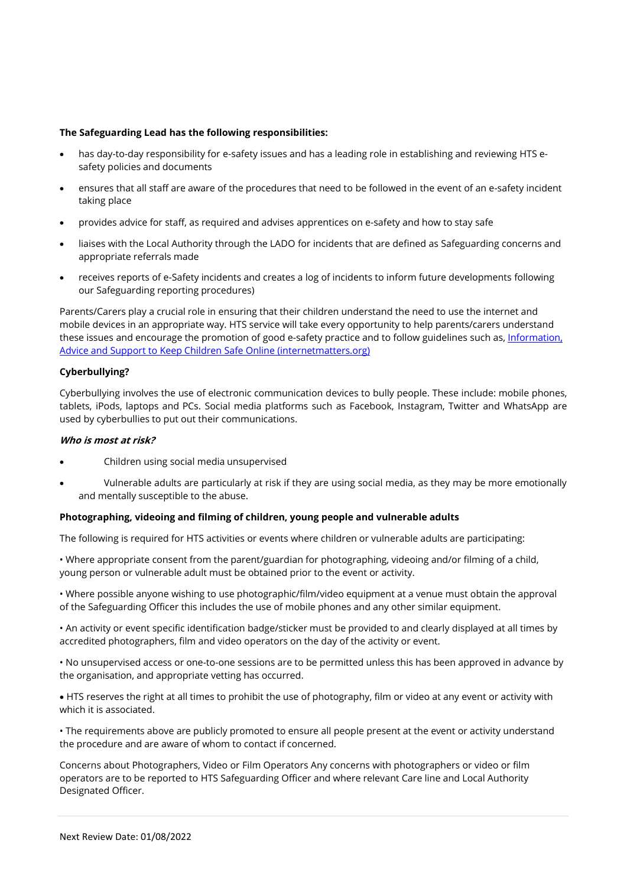## **The Safeguarding Lead has the following responsibilities:**

- has day-to-day responsibility for e-safety issues and has a leading role in establishing and reviewing HTS esafety policies and documents
- ensures that all staff are aware of the procedures that need to be followed in the event of an e-safety incident taking place
- provides advice for staff, as required and advises apprentices on e-safety and how to stay safe
- liaises with the Local Authority through the LADO for incidents that are defined as Safeguarding concerns and appropriate referrals made
- receives reports of e-Safety incidents and creates a log of incidents to inform future developments following our Safeguarding reporting procedures)

Parents/Carers play a crucial role in ensuring that their children understand the need to use the internet and mobile devices in an appropriate way. HTS service will take every opportunity to help parents/carers understand these issues and encourage the promotion of good e-safety practice and to follow guidelines such as, Information, [Advice and Support to Keep Children Safe Online \(internetmatters.org\)](https://www.internetmatters.org/)

# **Cyberbullying?**

Cyberbullying involves the use of electronic communication devices to bully people. These include: mobile phones, tablets, iPods, laptops and PCs. Social media platforms such as Facebook, Instagram, Twitter and WhatsApp are used by cyberbullies to put out their communications.

# **Who is most at risk?**

- Children using social media unsupervised
- Vulnerable adults are particularly at risk if they are using social media, as they may be more emotionally and mentally susceptible to the abuse.

## **Photographing, videoing and filming of children, young people and vulnerable adults**

The following is required for HTS activities or events where children or vulnerable adults are participating:

• Where appropriate consent from the parent/guardian for photographing, videoing and/or filming of a child, young person or vulnerable adult must be obtained prior to the event or activity.

• Where possible anyone wishing to use photographic/film/video equipment at a venue must obtain the approval of the Safeguarding Officer this includes the use of mobile phones and any other similar equipment.

• An activity or event specific identification badge/sticker must be provided to and clearly displayed at all times by accredited photographers, film and video operators on the day of the activity or event.

• No unsupervised access or one-to-one sessions are to be permitted unless this has been approved in advance by the organisation, and appropriate vetting has occurred.

• HTS reserves the right at all times to prohibit the use of photography, film or video at any event or activity with which it is associated.

• The requirements above are publicly promoted to ensure all people present at the event or activity understand the procedure and are aware of whom to contact if concerned.

Concerns about Photographers, Video or Film Operators Any concerns with photographers or video or film operators are to be reported to HTS Safeguarding Officer and where relevant Care line and Local Authority Designated Officer.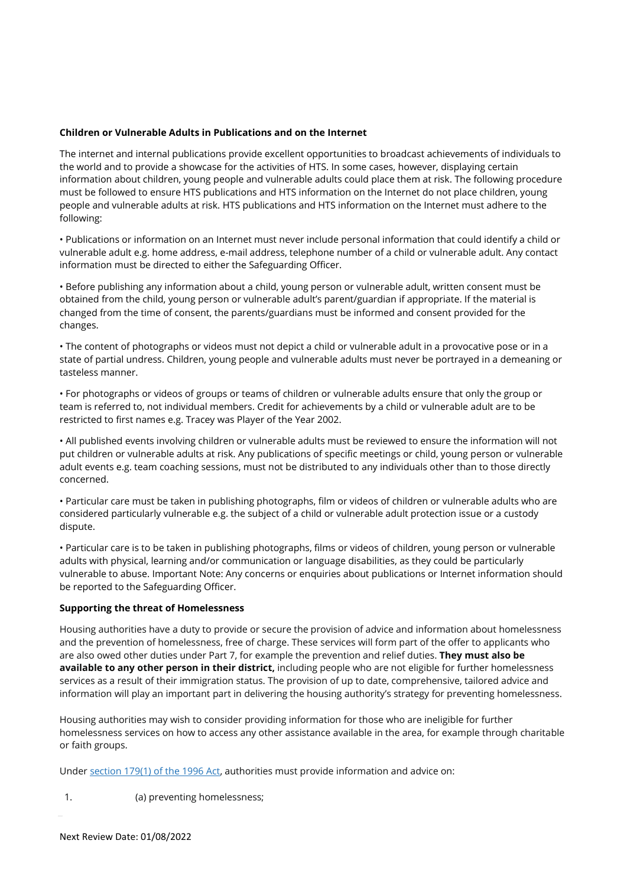# **Children or Vulnerable Adults in Publications and on the Internet**

The internet and internal publications provide excellent opportunities to broadcast achievements of individuals to the world and to provide a showcase for the activities of HTS. In some cases, however, displaying certain information about children, young people and vulnerable adults could place them at risk. The following procedure must be followed to ensure HTS publications and HTS information on the Internet do not place children, young people and vulnerable adults at risk. HTS publications and HTS information on the Internet must adhere to the following:

• Publications or information on an Internet must never include personal information that could identify a child or vulnerable adult e.g. home address, e-mail address, telephone number of a child or vulnerable adult. Any contact information must be directed to either the Safeguarding Officer.

• Before publishing any information about a child, young person or vulnerable adult, written consent must be obtained from the child, young person or vulnerable adult's parent/guardian if appropriate. If the material is changed from the time of consent, the parents/guardians must be informed and consent provided for the changes.

• The content of photographs or videos must not depict a child or vulnerable adult in a provocative pose or in a state of partial undress. Children, young people and vulnerable adults must never be portrayed in a demeaning or tasteless manner.

• For photographs or videos of groups or teams of children or vulnerable adults ensure that only the group or team is referred to, not individual members. Credit for achievements by a child or vulnerable adult are to be restricted to first names e.g. Tracey was Player of the Year 2002.

• All published events involving children or vulnerable adults must be reviewed to ensure the information will not put children or vulnerable adults at risk. Any publications of specific meetings or child, young person or vulnerable adult events e.g. team coaching sessions, must not be distributed to any individuals other than to those directly concerned.

• Particular care must be taken in publishing photographs, film or videos of children or vulnerable adults who are considered particularly vulnerable e.g. the subject of a child or vulnerable adult protection issue or a custody dispute.

• Particular care is to be taken in publishing photographs, films or videos of children, young person or vulnerable adults with physical, learning and/or communication or language disabilities, as they could be particularly vulnerable to abuse. Important Note: Any concerns or enquiries about publications or Internet information should be reported to the Safeguarding Officer.

## **Supporting the threat of Homelessness**

Housing authorities have a duty to provide or secure the provision of advice and information about homelessness and the prevention of homelessness, free of charge. These services will form part of the offer to applicants who are also owed other duties under Part 7, for example the prevention and relief duties. **They must also be available to any other person in their district,** including people who are not eligible for further homelessness services as a result of their immigration status. The provision of up to date, comprehensive, tailored advice and information will play an important part in delivering the housing authority's strategy for preventing homelessness.

Housing authorities may wish to consider providing information for those who are ineligible for further homelessness services on how to access any other assistance available in the area, for example through charitable or faith groups.

Under [section](http://www.legislation.gov.uk/ukpga/2017/13/section/2) 179(1) of the 1996 Act, authorities must provide information and advice on:

1. (a) preventing homelessness;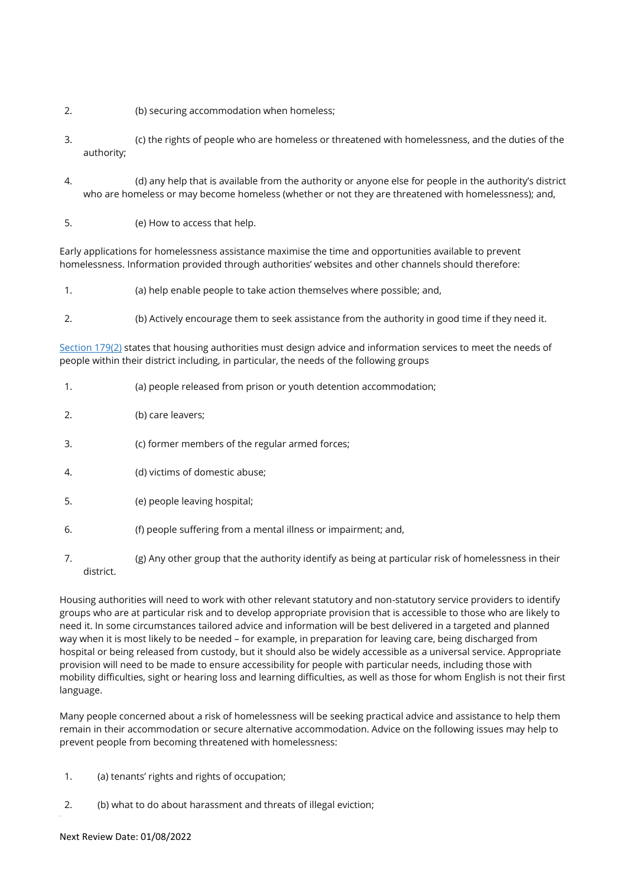- 2. (b) securing accommodation when homeless;
- 3. (c) the rights of people who are homeless or threatened with homelessness, and the duties of the authority;
- 4. (d) any help that is available from the authority or anyone else for people in the authority's district who are homeless or may become homeless (whether or not they are threatened with homelessness); and,
- 5. (e) How to access that help.

Early applications for homelessness assistance maximise the time and opportunities available to prevent homelessness. Information provided through authorities' websites and other channels should therefore:

- 1. (a) help enable people to take action themselves where possible; and,
- 2. (b) Actively encourage them to seek assistance from the authority in good time if they need it.

[Section](http://www.legislation.gov.uk/ukpga/2017/13/section/2) 179(2) states that housing authorities must design advice and information services to meet the needs of people within their district including, in particular, the needs of the following groups

- 1. (a) people released from prison or youth detention accommodation;
- 2. (b) care leavers;
- 3. (c) former members of the regular armed forces;
- 4. (d) victims of domestic abuse;
- 5. (e) people leaving hospital;
- 6. (f) people suffering from a mental illness or impairment; and,
- 7. (g) Any other group that the authority identify as being at particular risk of homelessness in their district.

Housing authorities will need to work with other relevant statutory and non-statutory service providers to identify groups who are at particular risk and to develop appropriate provision that is accessible to those who are likely to need it. In some circumstances tailored advice and information will be best delivered in a targeted and planned way when it is most likely to be needed – for example, in preparation for leaving care, being discharged from hospital or being released from custody, but it should also be widely accessible as a universal service. Appropriate provision will need to be made to ensure accessibility for people with particular needs, including those with mobility difficulties, sight or hearing loss and learning difficulties, as well as those for whom English is not their first language.

Many people concerned about a risk of homelessness will be seeking practical advice and assistance to help them remain in their accommodation or secure alternative accommodation. Advice on the following issues may help to prevent people from becoming threatened with homelessness:

- 1. (a) tenants' rights and rights of occupation;
- 2. (b) what to do about harassment and threats of illegal eviction;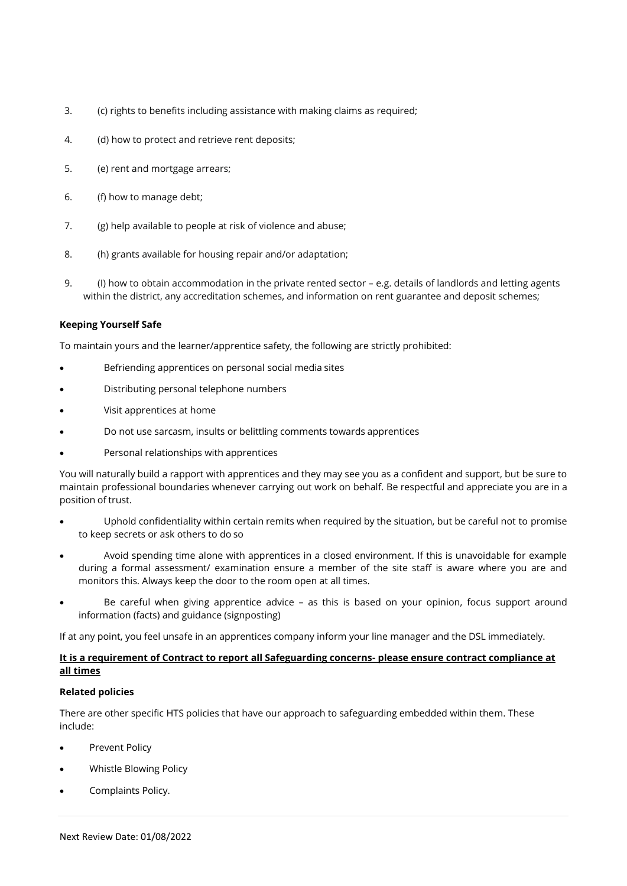- 3. (c) rights to benefits including assistance with making claims as required;
- 4. (d) how to protect and retrieve rent deposits;
- 5. (e) rent and mortgage arrears;
- 6. (f) how to manage debt;
- 7. (g) help available to people at risk of violence and abuse;
- 8. (h) grants available for housing repair and/or adaptation;
- 9. (I) how to obtain accommodation in the private rented sector e.g. details of landlords and letting agents within the district, any accreditation schemes, and information on rent guarantee and deposit schemes;

# **Keeping Yourself Safe**

To maintain yours and the learner/apprentice safety, the following are strictly prohibited:

- Befriending apprentices on personal social media sites
- Distributing personal telephone numbers
- Visit apprentices at home
- Do not use sarcasm, insults or belittling comments towards apprentices
- Personal relationships with apprentices

You will naturally build a rapport with apprentices and they may see you as a confident and support, but be sure to maintain professional boundaries whenever carrying out work on behalf. Be respectful and appreciate you are in a position of trust.

- Uphold confidentiality within certain remits when required by the situation, but be careful not to promise to keep secrets or ask others to do so
- Avoid spending time alone with apprentices in a closed environment. If this is unavoidable for example during a formal assessment/ examination ensure a member of the site staff is aware where you are and monitors this. Always keep the door to the room open at all times.
- Be careful when giving apprentice advice as this is based on your opinion, focus support around information (facts) and guidance (signposting)

If at any point, you feel unsafe in an apprentices company inform your line manager and the DSL immediately.

# **It is a requirement of Contract to report all Safeguarding concerns- please ensure contract compliance at all times**

## **Related policies**

There are other specific HTS policies that have our approach to safeguarding embedded within them. These include:

- Prevent Policy
- Whistle Blowing Policy
- Complaints Policy.